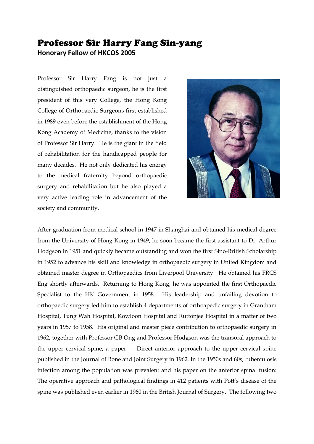## Professor Sir Harry Fang Sin-yang

**Honorary Fellow of HKCOS 2005**

Professor Sir Harry Fang is not just a distinguished orthopaedic surgeon, he is the first president of this very College, the Hong Kong College of Orthopaedic Surgeons first established in 1989 even before the establishment of the Hong Kong Academy of Medicine, thanks to the vision of Professor Sir Harry. He is the giant in the field of rehabilitation for the handicapped people for many decades. He not only dedicated his energy to the medical fraternity beyond orthopaedic surgery and rehabilitation but he also played a very active leading role in advancement of the society and community.



After graduation from medical school in 1947 in Shanghai and obtained his medical degree from the University of Hong Kong in 1949, he soon became the first assistant to Dr. Arthur Hodgson in 1951 and quickly became outstanding and won the first Sino-British Scholarship in 1952 to advance his skill and knowledge in orthopaedic surgery in United Kingdom and obtained master degree in Orthopaedics from Liverpool University. He obtained his FRCS Eng shortly afterwards. Returning to Hong Kong, he was appointed the first Orthopaedic Specialist to the HK Government in 1958. His leadership and unfailing devotion to orthopaedic surgery led him to establish 4 departments of orthoapedic surgery in Grantham Hospital, Tung Wah Hospital, Kowloon Hospital and Ruttonjee Hospital in a matter of two years in 1957 to 1958. His original and master piece contribution to orthopaedic surgery in 1962, together with Professor GB Ong and Professor Hodgson was the transoral approach to the upper cervical spine, a paper — Direct anterior approach to the upper cervical spine published in the Journal of Bone and Joint Surgery in 1962. In the 1950s and 60s, tuberculosis infection among the population was prevalent and his paper on the anterior spinal fusion: The operative approach and pathological findings in 412 patients with Pott's disease of the spine was published even earlier in 1960 in the British Journal of Surgery. The following two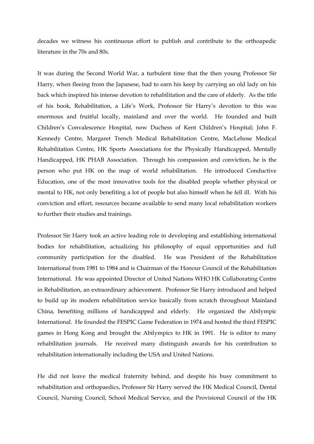decades we witness his continuous effort to publish and contribute to the orthoapedic literature in the 70s and 80s.

It was during the Second World War, a turbulent time that the then young Professor Sir Harry, when fleeing from the Japanese, had to earn his keep by carrying an old lady on his back which inspired his intense devotion to rehabilitation and the care of elderly. As the title of his book, Rehabilitation, a Life's Work, Professor Sir Harry's devotion to this was enormous and fruitful locally, mainland and over the world. He founded and built Children's Convalescence Hospital, now Duchess of Kent Children's Hospital; John F. Kennedy Centre, Margaret Trench Medical Rehabilitation Centre, MacLehose Medical Rehabilitation Centre, HK Sports Associations for the Physically Handicapped, Mentally Handicapped, HK PHAB Association. Through his compassion and conviction, he is the person who put HK on the map of world rehabilitation. He introduced Conductive Education, one of the most innovative tools for the disabled people whether physical or mental to HK, not only benefiting a lot of people but also himself when he fell ill. With his conviction and effort, resources became available to send many local rehabilitation workers to further their studies and trainings.

Professor Sir Harry took an active leading role in developing and establishing international bodies for rehabilitation, actualizing his philosophy of equal opportunities and full community participation for the disabled. He was President of the Rehabilitation International from 1981 to 1984 and is Chairman of the Honour Council of the Rehabilitation International. He was appointed Director of United Nations WHO HK Collaborating Centre in Rehabilitation, an extraordinary achievement. Professor Sir Harry introduced and helped to build up its modern rehabilitation service basically from scratch throughout Mainland China, benefiting millions of handicapped and elderly. He organized the Abilympic International. He founded the FESPIC Game Federation in 1974 and hosted the third FESPIC games in Hong Kong and brought the Abilympics to HK in 1991. He is editor to many rehabilitation journals. He received many distinguish awards for his contribution to rehabilitation internationally including the USA and United Nations.

He did not leave the medical fraternity behind, and despite his busy commitment to rehabilitation and orthopaedics, Professor Sir Harry served the HK Medical Council, Dental Council, Nursing Council, School Medical Service, and the Provisional Council of the HK